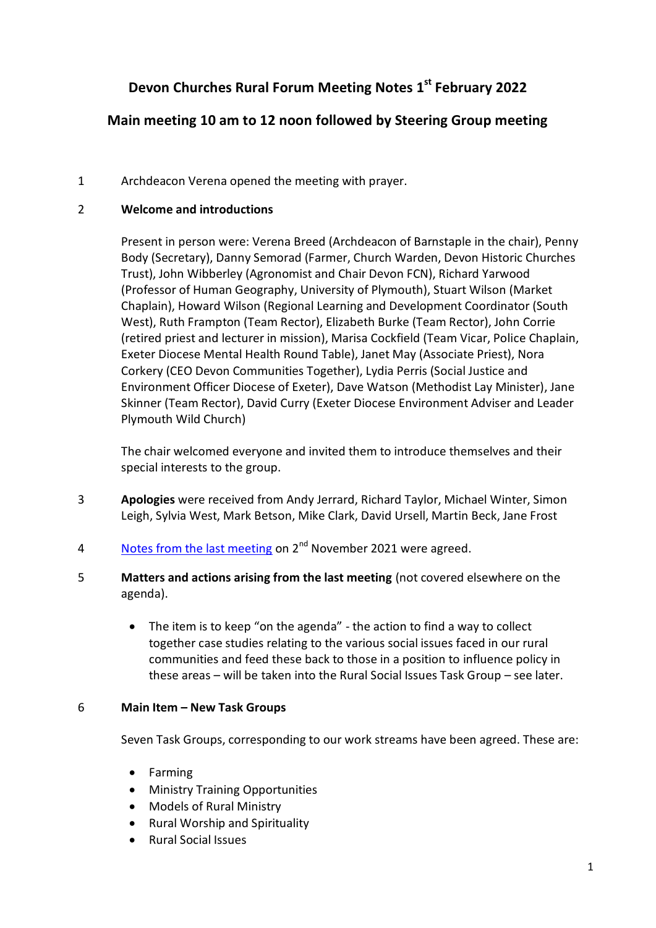# **Devon Churches Rural Forum Meeting Notes 1 st February 2022**

# **Main meeting 10 am to 12 noon followed by Steering Group meeting**

# 1 Archdeacon Verena opened the meeting with prayer.

## 2 **Welcome and introductions**

Present in person were: Verena Breed (Archdeacon of Barnstaple in the chair), Penny Body (Secretary), Danny Semorad (Farmer, Church Warden, Devon Historic Churches Trust), John Wibberley (Agronomist and Chair Devon FCN), Richard Yarwood (Professor of Human Geography, University of Plymouth), Stuart Wilson (Market Chaplain), Howard Wilson (Regional Learning and Development Coordinator (South West), Ruth Frampton (Team Rector), Elizabeth Burke (Team Rector), John Corrie (retired priest and lecturer in mission), Marisa Cockfield (Team Vicar, Police Chaplain, Exeter Diocese Mental Health Round Table), Janet May (Associate Priest), Nora Corkery (CEO Devon Communities Together), Lydia Perris (Social Justice and Environment Officer Diocese of Exeter), Dave Watson (Methodist Lay Minister), Jane Skinner (Team Rector), David Curry (Exeter Diocese Environment Adviser and Leader Plymouth Wild Church)

The chair welcomed everyone and invited them to introduce themselves and their special interests to the group.

- 3 **Apologies** were received from Andy Jerrard, Richard Taylor, Michael Winter, Simon Leigh, Sylvia West, Mark Betson, Mike Clark, David Ursell, Martin Beck, Jane Frost
- 4 Motes from the last meeting on 2<sup>nd</sup> November 2021 were agreed.
- 5 **Matters and actions arising from the last meeting** (not covered elsewhere on the agenda).
	- The item is to keep "on the agenda" the action to find a way to collect together case studies relating to the various social issues faced in our rural communities and feed these back to those in a position to influence policy in these areas – will be taken into the Rural Social Issues Task Group – see later.

# 6 **Main Item – New Task Groups**

Seven Task Groups, corresponding to our work streams have been agreed. These are:

- Farming
- Ministry Training Opportunities
- Models of Rural Ministry
- Rural Worship and Spirituality
- Rural Social Issues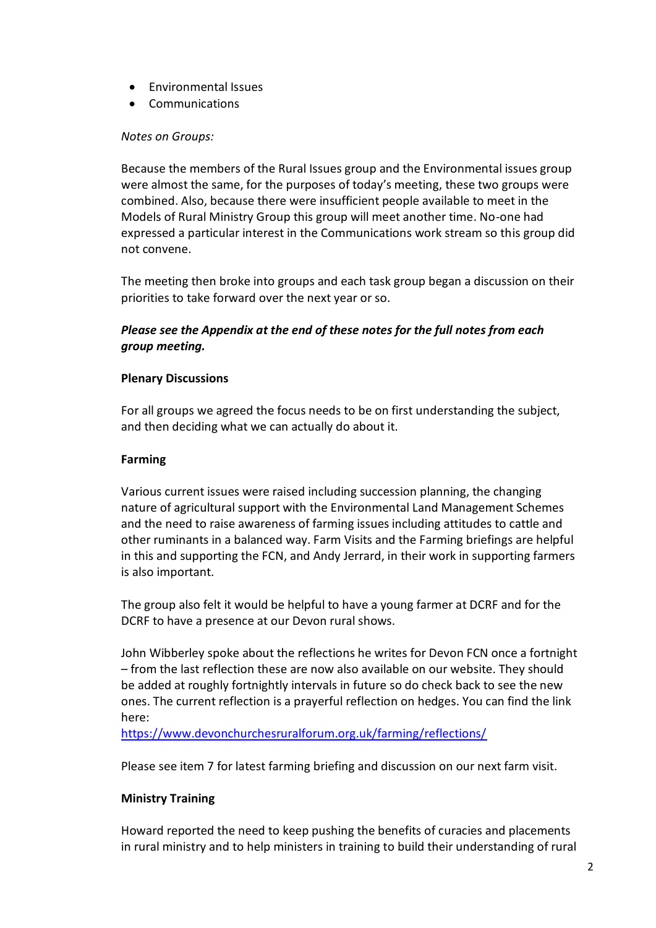- Environmental Issues
- Communications

#### *Notes on Groups:*

Because the members of the Rural Issues group and the Environmental issues group were almost the same, for the purposes of today's meeting, these two groups were combined. Also, because there were insufficient people available to meet in the Models of Rural Ministry Group this group will meet another time. No-one had expressed a particular interest in the Communications work stream so this group did not convene.

The meeting then broke into groups and each task group began a discussion on their priorities to take forward over the next year or so.

## *Please see the Appendix at the end of these notes for the full notes from each group meeting.*

#### **Plenary Discussions**

For all groups we agreed the focus needs to be on first understanding the subject, and then deciding what we can actually do about it.

### **Farming**

Various current issues were raised including succession planning, the changing nature of agricultural support with the Environmental Land Management Schemes and the need to raise awareness of farming issues including attitudes to cattle and other ruminants in a balanced way. Farm Visits and the Farming briefings are helpful in this and supporting the FCN, and Andy Jerrard, in their work in supporting farmers is also important.

The group also felt it would be helpful to have a young farmer at DCRF and for the DCRF to have a presence at our Devon rural shows.

John Wibberley spoke about the reflections he writes for Devon FCN once a fortnight – from the last reflection these are now also available on our website. They should be added at roughly fortnightly intervals in future so do check back to see the new ones. The current reflection is a prayerful reflection on hedges. You can find the link here:

<https://www.devonchurchesruralforum.org.uk/farming/reflections/>

Please see item 7 for latest farming briefing and discussion on our next farm visit.

## **Ministry Training**

Howard reported the need to keep pushing the benefits of curacies and placements in rural ministry and to help ministers in training to build their understanding of rural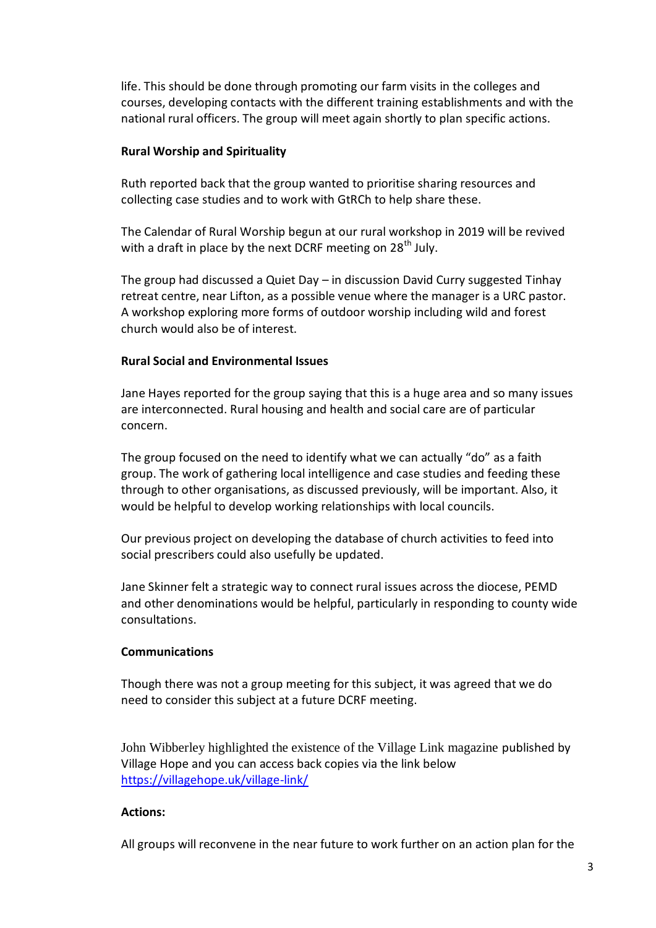life. This should be done through promoting our farm visits in the colleges and courses, developing contacts with the different training establishments and with the national rural officers. The group will meet again shortly to plan specific actions.

#### **Rural Worship and Spirituality**

Ruth reported back that the group wanted to prioritise sharing resources and collecting case studies and to work with GtRCh to help share these.

The Calendar of Rural Worship begun at our rural workshop in 2019 will be revived with a draft in place by the next DCRF meeting on  $28<sup>th</sup>$  July.

The group had discussed a Quiet Day – in discussion David Curry suggested Tinhay retreat centre, near Lifton, as a possible venue where the manager is a URC pastor. A workshop exploring more forms of outdoor worship including wild and forest church would also be of interest.

## **Rural Social and Environmental Issues**

Jane Hayes reported for the group saying that this is a huge area and so many issues are interconnected. Rural housing and health and social care are of particular concern.

The group focused on the need to identify what we can actually "do" as a faith group. The work of gathering local intelligence and case studies and feeding these through to other organisations, as discussed previously, will be important. Also, it would be helpful to develop working relationships with local councils.

Our previous project on developing the database of church activities to feed into social prescribers could also usefully be updated.

Jane Skinner felt a strategic way to connect rural issues across the diocese, PEMD and other denominations would be helpful, particularly in responding to county wide consultations.

#### **Communications**

Though there was not a group meeting for this subject, it was agreed that we do need to consider this subject at a future DCRF meeting.

John Wibberley highlighted the existence of the Village Link magazine published by Village Hope and you can access back copies via the link below <https://villagehope.uk/village-link/>

#### **Actions:**

All groups will reconvene in the near future to work further on an action plan for the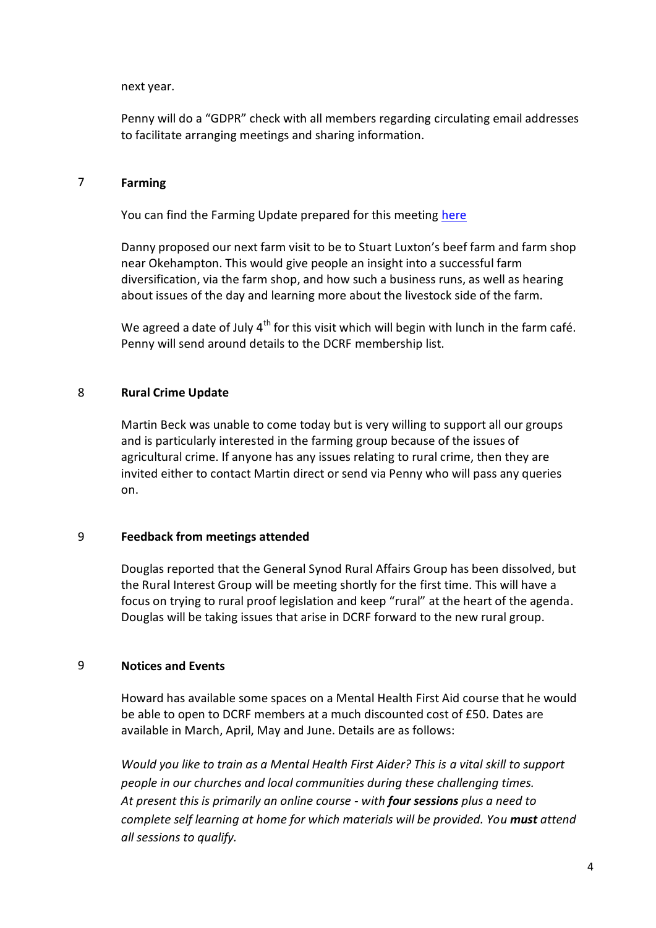next year.

Penny will do a "GDPR" check with all members regarding circulating email addresses to facilitate arranging meetings and sharing information.

#### 7 **Farming**

You can find the Farming Update prepared for this meeting [here](https://d3hgrlq6yacptf.cloudfront.net/5f1eece228740/content/pages/documents/farming-update-for-devon-churches-rural-forum-meeting-1st-february-2022.pdf)

Danny proposed our next farm visit to be to Stuart Luxton's beef farm and farm shop near Okehampton. This would give people an insight into a successful farm diversification, via the farm shop, and how such a business runs, as well as hearing about issues of the day and learning more about the livestock side of the farm.

We agreed a date of July  $4<sup>th</sup>$  for this visit which will begin with lunch in the farm café. Penny will send around details to the DCRF membership list.

#### 8 **Rural Crime Update**

Martin Beck was unable to come today but is very willing to support all our groups and is particularly interested in the farming group because of the issues of agricultural crime. If anyone has any issues relating to rural crime, then they are invited either to contact Martin direct or send via Penny who will pass any queries on.

#### 9 **Feedback from meetings attended**

Douglas reported that the General Synod Rural Affairs Group has been dissolved, but the Rural Interest Group will be meeting shortly for the first time. This will have a focus on trying to rural proof legislation and keep "rural" at the heart of the agenda. Douglas will be taking issues that arise in DCRF forward to the new rural group.

#### 9 **Notices and Events**

Howard has available some spaces on a Mental Health First Aid course that he would be able to open to DCRF members at a much discounted cost of £50. Dates are available in March, April, May and June. Details are as follows:

*Would you like to train as a Mental Health First Aider? This is a vital skill to support people in our churches and local communities during these challenging times. At present this is primarily an online course - with four sessions plus a need to complete self learning at home for which materials will be provided. You must attend all sessions to qualify.*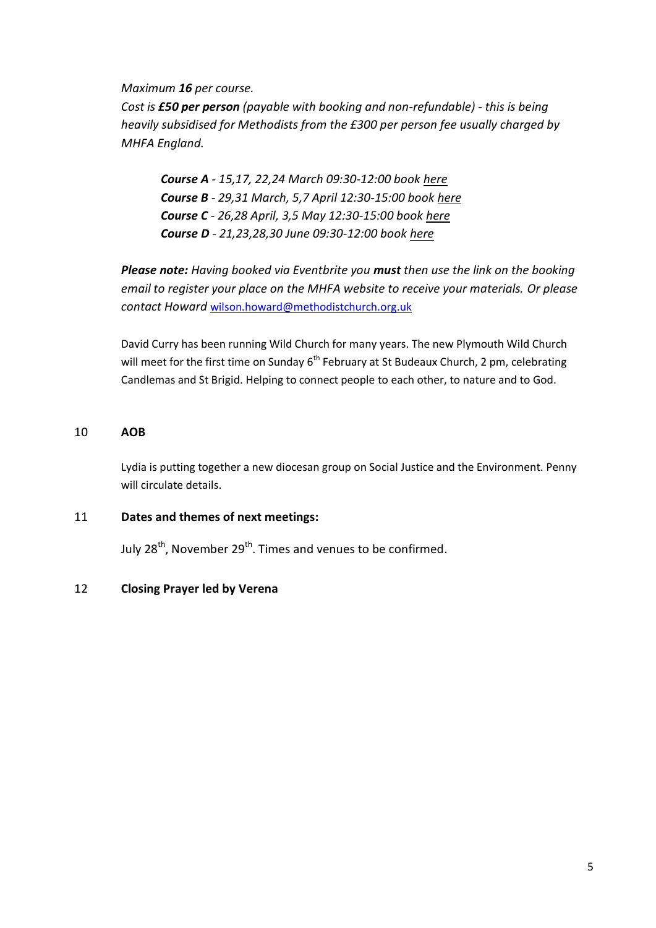*Maximum 16 per course.*

*Cost is £50 per person (payable with booking and non-refundable) - this is being heavily subsidised for Methodists from the £300 per person fee usually charged by MHFA England.*

*Course A - 15,17, 22,24 March 09:30-12:00 book [here](https://urldefense.proofpoint.com/v2/url?u=https-3A__methodist-2Dnews.org.uk_BVI-2D7PKRH-2DV50ID9-2D4OTL2L-2D1_c.aspx&d=DwMFaQ&c=euGZstcaTDllvimEN8b7jXrwqOf-v5A_CdpgnVfiiMM&r=milb5Nx9ZtgEvRrhKhNS5gihep5u7X585-FnCJOEV-QxoIR2UuoKvmB0pwedC7EZ&m=pBhjYWUblO9Qh5BnHwtGW1JaM0M_Ejh4SF6MxqpaBbk&s=d9wGEIMljslI9Ijp5P6r5AXJnajqaVairSproIIrUbs&e=) Course B - 29,31 March, 5,7 April 12:30-15:00 book [here](https://urldefense.proofpoint.com/v2/url?u=https-3A__methodist-2Dnews.org.uk_BVI-2D7PKRH-2DV50ID9-2D4OTL2M-2D1_c.aspx&d=DwMFaQ&c=euGZstcaTDllvimEN8b7jXrwqOf-v5A_CdpgnVfiiMM&r=milb5Nx9ZtgEvRrhKhNS5gihep5u7X585-FnCJOEV-QxoIR2UuoKvmB0pwedC7EZ&m=pBhjYWUblO9Qh5BnHwtGW1JaM0M_Ejh4SF6MxqpaBbk&s=DbYaAe0pMd034R8tVsoyr6c6cWEwivfbE6u3XVbpBwU&e=) Course C - 26,28 April, 3,5 May 12:30-15:00 boo[k here](https://urldefense.proofpoint.com/v2/url?u=https-3A__methodist-2Dnews.org.uk_BVI-2D7PKRH-2DV50ID9-2D4OTL2N-2D1_c.aspx&d=DwMFaQ&c=euGZstcaTDllvimEN8b7jXrwqOf-v5A_CdpgnVfiiMM&r=milb5Nx9ZtgEvRrhKhNS5gihep5u7X585-FnCJOEV-QxoIR2UuoKvmB0pwedC7EZ&m=pBhjYWUblO9Qh5BnHwtGW1JaM0M_Ejh4SF6MxqpaBbk&s=ljRLWNX1_GV0kUCpohF2JvK27VcRUcweRVN3X46b0SM&e=) Course D - 21,23,28,30 June 09:30-12:00 book [here](https://urldefense.proofpoint.com/v2/url?u=https-3A__methodist-2Dnews.org.uk_BVI-2D7PKRH-2DV50ID9-2D4OTL2O-2D1_c.aspx&d=DwMFaQ&c=euGZstcaTDllvimEN8b7jXrwqOf-v5A_CdpgnVfiiMM&r=milb5Nx9ZtgEvRrhKhNS5gihep5u7X585-FnCJOEV-QxoIR2UuoKvmB0pwedC7EZ&m=pBhjYWUblO9Qh5BnHwtGW1JaM0M_Ejh4SF6MxqpaBbk&s=bGDqS0JFla_1GT_h1MNa3P1lXf3ZYwd6tZj2gxL5J68&e=)*

*Please note: Having booked via Eventbrite you must then use the link on the booking email to register your place on the MHFA website to receive your materials. Or please contact Howard* [wilson.howard@methodistchurch.org.uk](mailto:wilson.howard@methodistchurch.org.uk)

David Curry has been running Wild Church for many years. The new Plymouth Wild Church will meet for the first time on Sunday 6<sup>th</sup> February at St Budeaux Church, 2 pm, celebrating Candlemas and St Brigid. Helping to connect people to each other, to nature and to God.

#### 10 **AOB**

Lydia is putting together a new diocesan group on Social Justice and the Environment. Penny will circulate details.

#### 11 **Dates and themes of next meetings:**

July  $28^{th}$ , November  $29^{th}$ . Times and venues to be confirmed.

#### 12 **Closing Prayer led by Verena**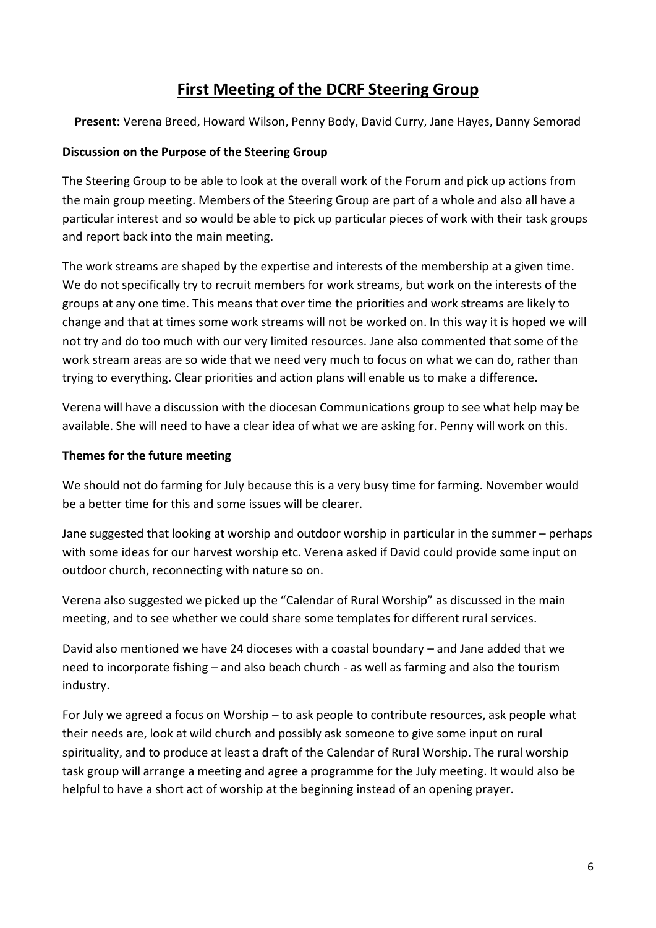# **First Meeting of the DCRF Steering Group**

**Present:** Verena Breed, Howard Wilson, Penny Body, David Curry, Jane Hayes, Danny Semorad

## **Discussion on the Purpose of the Steering Group**

The Steering Group to be able to look at the overall work of the Forum and pick up actions from the main group meeting. Members of the Steering Group are part of a whole and also all have a particular interest and so would be able to pick up particular pieces of work with their task groups and report back into the main meeting.

The work streams are shaped by the expertise and interests of the membership at a given time. We do not specifically try to recruit members for work streams, but work on the interests of the groups at any one time. This means that over time the priorities and work streams are likely to change and that at times some work streams will not be worked on. In this way it is hoped we will not try and do too much with our very limited resources. Jane also commented that some of the work stream areas are so wide that we need very much to focus on what we can do, rather than trying to everything. Clear priorities and action plans will enable us to make a difference.

Verena will have a discussion with the diocesan Communications group to see what help may be available. She will need to have a clear idea of what we are asking for. Penny will work on this.

## **Themes for the future meeting**

We should not do farming for July because this is a very busy time for farming. November would be a better time for this and some issues will be clearer.

Jane suggested that looking at worship and outdoor worship in particular in the summer – perhaps with some ideas for our harvest worship etc. Verena asked if David could provide some input on outdoor church, reconnecting with nature so on.

Verena also suggested we picked up the "Calendar of Rural Worship" as discussed in the main meeting, and to see whether we could share some templates for different rural services.

David also mentioned we have 24 dioceses with a coastal boundary – and Jane added that we need to incorporate fishing – and also beach church - as well as farming and also the tourism industry.

For July we agreed a focus on Worship – to ask people to contribute resources, ask people what their needs are, look at wild church and possibly ask someone to give some input on rural spirituality, and to produce at least a draft of the Calendar of Rural Worship. The rural worship task group will arrange a meeting and agree a programme for the July meeting. It would also be helpful to have a short act of worship at the beginning instead of an opening prayer.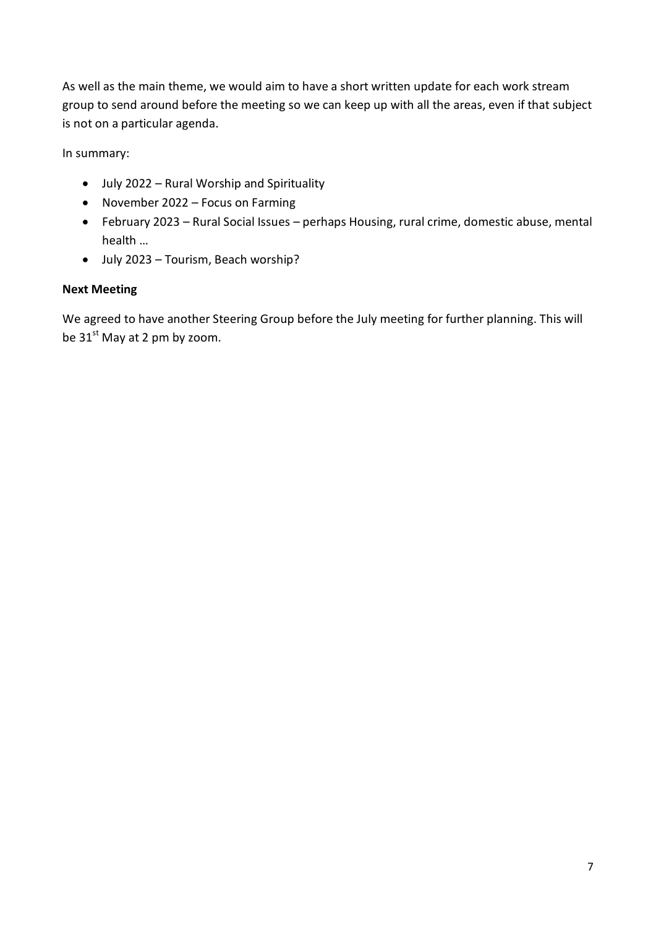As well as the main theme, we would aim to have a short written update for each work stream group to send around before the meeting so we can keep up with all the areas, even if that subject is not on a particular agenda.

In summary:

- July 2022 Rural Worship and Spirituality
- November 2022 Focus on Farming
- February 2023 Rural Social Issues perhaps Housing, rural crime, domestic abuse, mental health …
- July 2023 Tourism, Beach worship?

# **Next Meeting**

We agreed to have another Steering Group before the July meeting for further planning. This will be  $31<sup>st</sup>$  May at 2 pm by zoom.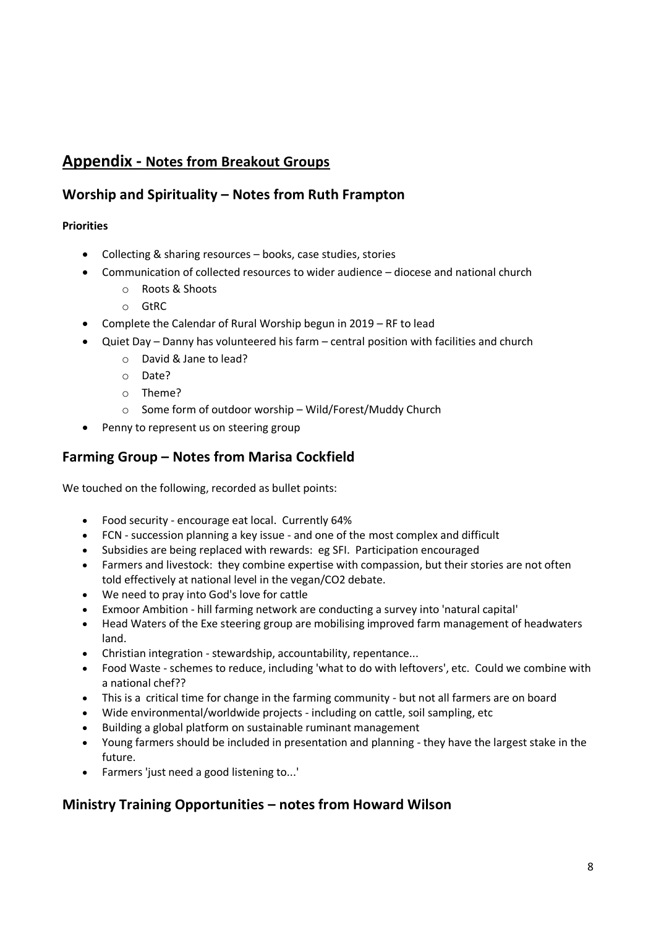# **Appendix - Notes from Breakout Groups**

# **Worship and Spirituality – Notes from Ruth Frampton**

## **Priorities**

- Collecting & sharing resources books, case studies, stories
- Communication of collected resources to wider audience diocese and national church
	- o Roots & Shoots
	- o GtRC
- Complete the Calendar of Rural Worship begun in 2019 RF to lead
- Quiet Day Danny has volunteered his farm central position with facilities and church
	- o David & Jane to lead?
	- o Date?
	- o Theme?
	- o Some form of outdoor worship Wild/Forest/Muddy Church
- Penny to represent us on steering group

# **Farming Group – Notes from Marisa Cockfield**

We touched on the following, recorded as bullet points:

- Food security encourage eat local. Currently 64%
- FCN succession planning a key issue and one of the most complex and difficult
- Subsidies are being replaced with rewards: eg SFI. Participation encouraged
- Farmers and livestock: they combine expertise with compassion, but their stories are not often told effectively at national level in the vegan/CO2 debate.
- We need to pray into God's love for cattle
- Exmoor Ambition hill farming network are conducting a survey into 'natural capital'
- Head Waters of the Exe steering group are mobilising improved farm management of headwaters land.
- Christian integration stewardship, accountability, repentance...
- Food Waste schemes to reduce, including 'what to do with leftovers', etc. Could we combine with a national chef??
- This is a critical time for change in the farming community but not all farmers are on board
- Wide environmental/worldwide projects including on cattle, soil sampling, etc
- Building a global platform on sustainable ruminant management
- Young farmers should be included in presentation and planning they have the largest stake in the future.
- Farmers 'just need a good listening to...'

# **Ministry Training Opportunities – notes from Howard Wilson**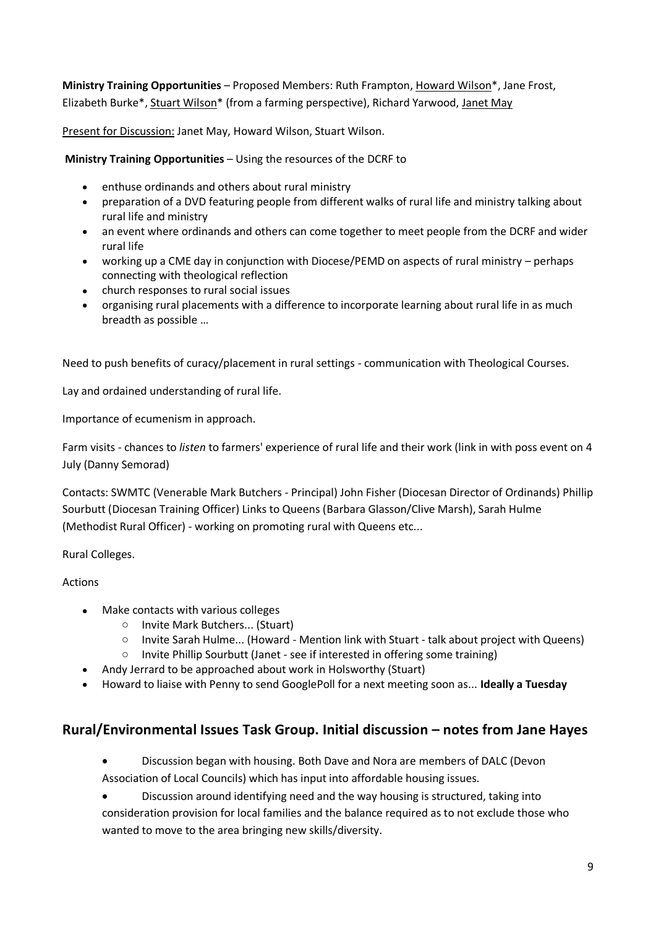**Ministry Training Opportunities** – Proposed Members: Ruth Frampton, Howard Wilson\*, Jane Frost, Elizabeth Burke\*, Stuart Wilson\* (from a farming perspective), Richard Yarwood, Janet May

Present for Discussion: Janet May, Howard Wilson, Stuart Wilson.

**Ministry Training Opportunities** – Using the resources of the DCRF to

- enthuse ordinands and others about rural ministry
- preparation of a DVD featuring people from different walks of rural life and ministry talking about rural life and ministry
- an event where ordinands and others can come together to meet people from the DCRF and wider rural life
- working up a CME day in conjunction with Diocese/PEMD on aspects of rural ministry perhaps connecting with theological reflection
- church responses to rural social issues
- organising rural placements with a difference to incorporate learning about rural life in as much breadth as possible …

Need to push benefits of curacy/placement in rural settings - communication with Theological Courses.

Lay and ordained understanding of rural life.

Importance of ecumenism in approach.

Farm visits - chances to *listen* to farmers' experience of rural life and their work (link in with poss event on 4 July (Danny Semorad)

Contacts: SWMTC (Venerable Mark Butchers - Principal) John Fisher (Diocesan Director of Ordinands) Phillip Sourbutt (Diocesan Training Officer) Links to Queens (Barbara Glasson/Clive Marsh), Sarah Hulme (Methodist Rural Officer) - working on promoting rural with Queens etc...

Rural Colleges.

Actions

- Make contacts with various colleges
	- o Invite Mark Butchers... (Stuart)
	- o Invite Sarah Hulme... (Howard Mention link with Stuart talk about project with Queens)
	- o Invite Phillip Sourbutt (Janet see if interested in offering some training)
- Andy Jerrard to be approached about work in Holsworthy (Stuart)
- Howard to liaise with Penny to send GooglePoll for a next meeting soon as... **Ideally a Tuesday**

# **Rural/Environmental Issues Task Group. Initial discussion – notes from Jane Hayes**

- Discussion began with housing. Both Dave and Nora are members of DALC (Devon Association of Local Councils) which has input into affordable housing issues.
- Discussion around identifying need and the way housing is structured, taking into consideration provision for local families and the balance required as to not exclude those who wanted to move to the area bringing new skills/diversity.